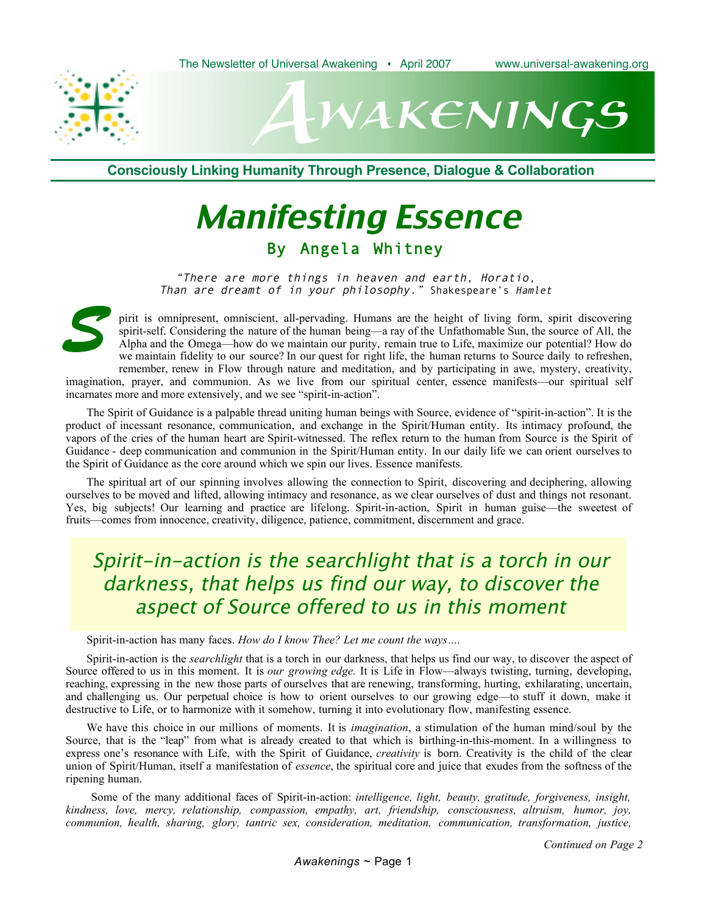

# wakenings  $A^p$

**Consciously Linking Humanity Through Presence, Dialogue & Collaboration**

# Manifesting Essence By Angela Whitney

"There are more things in heaven and earth, Horatio, Than are dreamt of in your philosophy." Shakespeare's Hamlet

pirit is omnipresent, omniscient, all-pervading. Humans are the height of living form, spirit discovering spirit-self. Considering the nature of the human being—a ray of the Unfathomable Sun, the source of All, the Alpha and the Omega—how do we maintain our purity, remain true to Life, maximize our potential? How do we maintain fidelity to our source? In our quest for right life, the human returns to Source daily to refreshen, remember, renew in Flow through nature and meditation, and by participating in awe, mystery, creativity, imagination, prayer, and communion. As we live from our spiritual center, essence manifests—our spiritual self

incarnates more and more extensively, and we see "spirit-in-action".

The Spirit of Guidance is a palpable thread uniting human beings with Source, evidence of "spirit-in-action". It is the product of incessant resonance, communication, and exchange in the Spirit/Human entity. Its intimacy profound, the vapors of the cries of the human heart are Spirit-witnessed. The reflex return to the human from Source is the Spirit of Guidance - deep communication and communion in the Spirit/Human entity. In our daily life we can orient ourselves to the Spirit of Guidance as the core around which we spin our lives. Essence manifests.

The spiritual art of our spinning involves allowing the connection to Spirit, discovering and deciphering, allowing ourselves to be moved and lifted, allowing intimacy and resonance, as we clear ourselves of dust and things not resonant. Yes, big subjects! Our learning and practice are lifelong. Spirit-in-action, Spirit in human guise—the sweetest of fruits—comes from innocence, creativity, diligence, patience, commitment, discernment and grace.

### Spirit-in-action is the searchlight that is <sup>a</sup> torch in our darkness, that helps us find our way, to discover the aspect of Source offered to us in this moment

Spirit-in-action has many faces. *How do I know Thee? Let me count the ways….*

Spirit-in-action is the *searchlight* that is a torch in our darkness, that helps us find our way, to discover the aspect of Source offered to us in this moment. It is *our growing edge.* It is Life in Flow—always twisting, turning, developing, reaching, expressing in the new those parts of ourselves that are renewing, transforming, hurting, exhilarating, uncertain, and challenging us. Our perpetual choice is how to orient ourselves to our growing edge—to stuff it down, make it destructive to Life, or to harmonize with it somehow, turning it into evolutionary flow, manifesting essence.

We have this choice in our millions of moments. It is *imagination*, a stimulation of the human mind/soul by the Source, that is the "leap" from what is already created to that which is birthing-in-this-moment. In a willingness to express one's resonance with Life, with the Spirit of Guidance, *creativity* is born. Creativity is the child of the clear union of Spirit/Human, itself a manifestation of *essence*, the spiritual core and juice that exudes from the softness of the ripening human.

Some of the many additional faces of Spirit-in-action: *intelligence, light, beauty, gratitude, forgiveness, insight, kindness, love, mercy, relationship, compassion, empathy, art, friendship, consciousness, altruism, humor, joy, communion, health, sharing, glory, tantric sex, consideration, meditation, communication, transformation, justice,*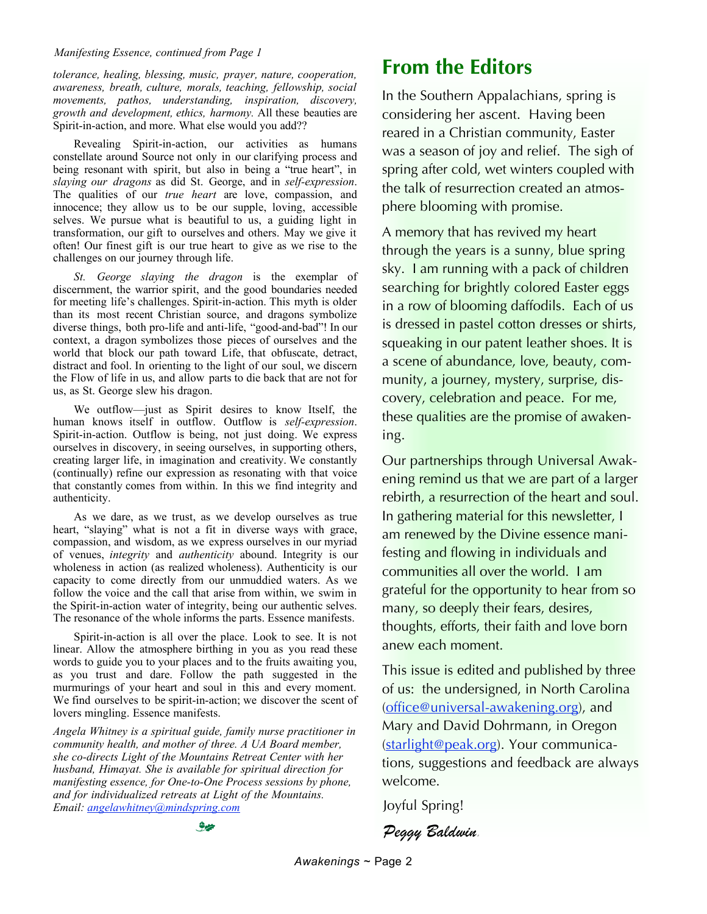#### *Manifesting Essence, continued from Page 1*

*tolerance, healing, blessing, music, prayer, nature, cooperation, awareness, breath, culture, morals, teaching, fellowship, social movements, pathos, understanding, inspiration, discovery, growth and development, ethics, harmony.* All these beauties are Spirit-in-action, and more. What else would you add??

Revealing Spirit-in-action, our activities as humans constellate around Source not only in our clarifying process and being resonant with spirit, but also in being a "true heart", in *slaying our dragons* as did St. George, and in *self-expression*. The qualities of our *true heart* are love, compassion, and innocence; they allow us to be our supple, loving, accessible selves. We pursue what is beautiful to us, a guiding light in transformation, our gift to ourselves and others. May we give it often! Our finest gift is our true heart to give as we rise to the challenges on our journey through life.

*St. George slaying the dragon* is the exemplar of discernment, the warrior spirit, and the good boundaries needed for meeting life's challenges. Spirit-in-action. This myth is older than its most recent Christian source, and dragons symbolize diverse things, both pro-life and anti-life, "good-and-bad"! In our context, a dragon symbolizes those pieces of ourselves and the world that block our path toward Life, that obfuscate, detract, distract and fool. In orienting to the light of our soul, we discern the Flow of life in us, and allow parts to die back that are not for us, as St. George slew his dragon.

We outflow—just as Spirit desires to know Itself, the human knows itself in outflow. Outflow is *self-expression*. Spirit-in-action. Outflow is being, not just doing. We express ourselves in discovery, in seeing ourselves, in supporting others, creating larger life, in imagination and creativity. We constantly (continually) refine our expression as resonating with that voice that constantly comes from within. In this we find integrity and authenticity.

As we dare, as we trust, as we develop ourselves as true heart, "slaying" what is not a fit in diverse ways with grace, compassion, and wisdom, as we express ourselves in our myriad of venues, *integrity* and *authenticity* abound. Integrity is our wholeness in action (as realized wholeness). Authenticity is our capacity to come directly from our unmuddied waters. As we follow the voice and the call that arise from within, we swim in the Spirit-in-action water of integrity, being our authentic selves. The resonance of the whole informs the parts. Essence manifests.

Spirit-in-action is all over the place. Look to see. It is not linear. Allow the atmosphere birthing in you as you read these words to guide you to your places and to the fruits awaiting you, as you trust and dare. Follow the path suggested in the murmurings of your heart and soul in this and every moment. We find ourselves to be spirit-in-action; we discover the scent of lovers mingling. Essence manifests.

*Angela Whitney is a spiritual guide, family nurse practitioner in community health, and mother of three. A UA Board member, she co-directs Light of the Mountains Retreat Center with her husband, Himayat. She is available for spiritual direction for manifesting essence, for One-to-One Process sessions by phone, and for individualized retreats at Light of the Mountains. Email: angelawhitney@mindspring.com*

### **From the Editors**

In the Southern Appalachians, spring is considering her ascent. Having been reared in a Christian community, Easter was a season of joy and relief. The sigh of spring after cold, wet winters coupled with the talk of resurrection created an atmosphere blooming with promise.

A memory that has revived my heart through the years is a sunny, blue spring sky. I am running with a pack of children searching for brightly colored Easter eggs in a row of blooming daffodils. Each of us is dressed in pastel cotton dresses or shirts, squeaking in our patent leather shoes. It is a scene of abundance, love, beauty, community, a journey, mystery, surprise, discovery, celebration and peace. For me, these qualities are the promise of awakening.

Our partnerships through Universal Awakening remind us that we are part of a larger rebirth, a resurrection of the heart and soul. In gathering material for this newsletter, I am renewed by the Divine essence manifesting and flowing in individuals and communities all over the world. I am grateful for the opportunity to hear from so many, so deeply their fears, desires, thoughts, efforts, their faith and love born anew each moment.

This issue is edited and published by three of us: the undersigned, in North Carolina (office@universal-awakening.org), and Mary and David Dohrmann, in Oregon (starlight@peak.org). Your communications, suggestions and feedback are always welcome.

Joyful Spring!

*Peggy Baldwin.*

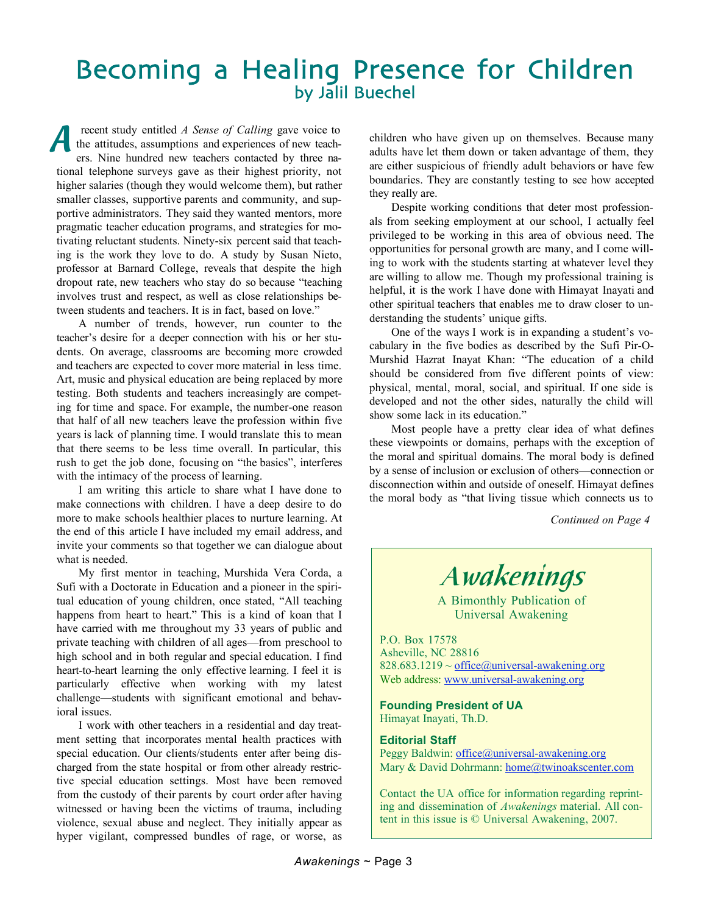## Becoming a Healing Presence for Children by Jalil Buechel

recent study entitled *A Sense of Calling* gave voice to the attitudes, assumptions and experiences of new teachers. Nine hundred new teachers contacted by three national telephone surveys gave as their highest priority, not higher salaries (though they would welcome them), but rather smaller classes, supportive parents and community, and supportive administrators. They said they wanted mentors, more pragmatic teacher education programs, and strategies for motivating reluctant students. Ninety-six percent said that teaching is the work they love to do. A study by Susan Nieto, professor at Barnard College, reveals that despite the high dropout rate, new teachers who stay do so because "teaching involves trust and respect, as well as close relationships between students and teachers. It is in fact, based on love." *A*

A number of trends, however, run counter to the teacher's desire for a deeper connection with his or her students. On average, classrooms are becoming more crowded and teachers are expected to cover more material in less time. Art, music and physical education are being replaced by more testing. Both students and teachers increasingly are competing for time and space. For example, the number-one reason that half of all new teachers leave the profession within five years is lack of planning time. I would translate this to mean that there seems to be less time overall. In particular, this rush to get the job done, focusing on "the basics", interferes with the intimacy of the process of learning.

I am writing this article to share what I have done to make connections with children. I have a deep desire to do more to make schools healthier places to nurture learning. At the end of this article I have included my email address, and invite your comments so that together we can dialogue about what is needed.

My first mentor in teaching, Murshida Vera Corda, a Sufi with a Doctorate in Education and a pioneer in the spiritual education of young children, once stated, "All teaching happens from heart to heart." This is a kind of koan that I have carried with me throughout my 33 years of public and private teaching with children of all ages—from preschool to high school and in both regular and special education. I find heart-to-heart learning the only effective learning. I feel it is particularly effective when working with my latest challenge—students with significant emotional and behavioral issues.

I work with other teachers in a residential and day treatment setting that incorporates mental health practices with special education. Our clients/students enter after being discharged from the state hospital or from other already restrictive special education settings. Most have been removed from the custody of their parents by court order after having witnessed or having been the victims of trauma, including violence, sexual abuse and neglect. They initially appear as hyper vigilant, compressed bundles of rage, or worse, as children who have given up on themselves. Because many adults have let them down or taken advantage of them, they are either suspicious of friendly adult behaviors or have few boundaries. They are constantly testing to see how accepted they really are.

Despite working conditions that deter most professionals from seeking employment at our school, I actually feel privileged to be working in this area of obvious need. The opportunities for personal growth are many, and I come willing to work with the students starting at whatever level they are willing to allow me. Though my professional training is helpful, it is the work I have done with Himayat Inayati and other spiritual teachers that enables me to draw closer to understanding the students' unique gifts.

One of the ways I work is in expanding a student's vocabulary in the five bodies as described by the Sufi Pir-O-Murshid Hazrat Inayat Khan: "The education of a child should be considered from five different points of view: physical, mental, moral, social, and spiritual. If one side is developed and not the other sides, naturally the child will show some lack in its education."

Most people have a pretty clear idea of what defines these viewpoints or domains, perhaps with the exception of the moral and spiritual domains. The moral body is defined by a sense of inclusion or exclusion of others—connection or disconnection within and outside of oneself. Himayat defines the moral body as "that living tissue which connects us to

*Continued on Page 4*



A Bimonthly Publication of Universal Awakening

P.O. Box 17578 Asheville, NC 28816  $828.683.1219 \sim \text{office}(\omega)$ universal-awakening.org Web address: www.universal-awakening.org

**Founding President of UA** Himayat Inayati, Th.D.

#### **Editorial Staff**

Peggy Baldwin: office@universal-awakening.org Mary & David Dohrmann: home@twinoakscenter.com

Contact the UA office for information regarding reprinting and dissemination of *Awakenings* material. All content in this issue is © Universal Awakening, 2007.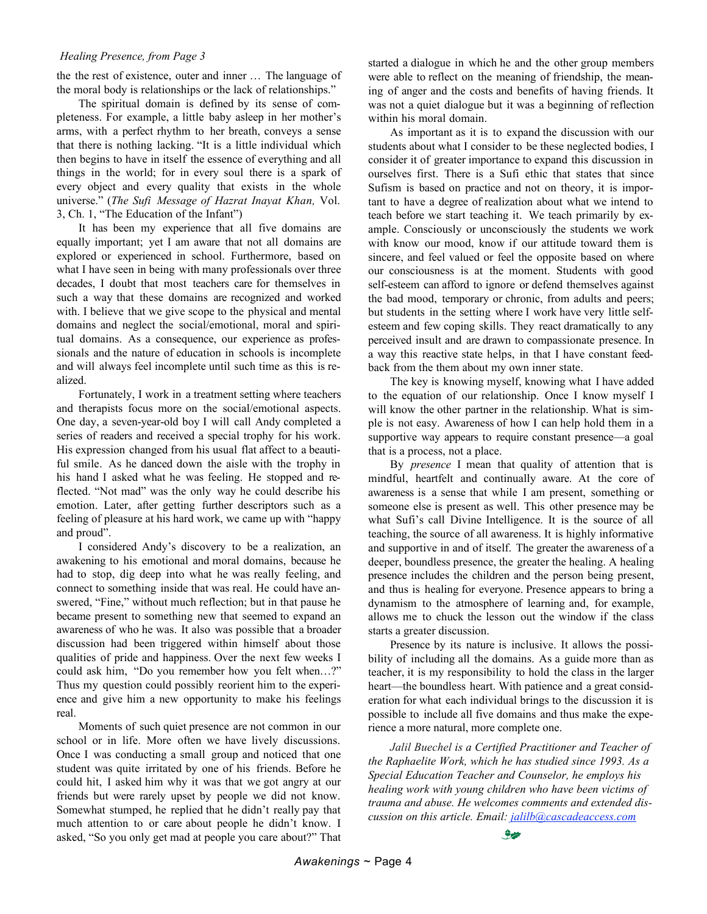#### *Healing Presence, from Page 3*

the the rest of existence, outer and inner … The language of the moral body is relationships or the lack of relationships."

The spiritual domain is defined by its sense of completeness. For example, a little baby asleep in her mother's arms, with a perfect rhythm to her breath, conveys a sense that there is nothing lacking. "It is a little individual which then begins to have in itself the essence of everything and all things in the world; for in every soul there is a spark of every object and every quality that exists in the whole universe." (*The Sufi Message of Hazrat Inayat Khan,* Vol. 3, Ch. 1, "The Education of the Infant")

It has been my experience that all five domains are equally important; yet I am aware that not all domains are explored or experienced in school. Furthermore, based on what I have seen in being with many professionals over three decades, I doubt that most teachers care for themselves in such a way that these domains are recognized and worked with. I believe that we give scope to the physical and mental domains and neglect the social/emotional, moral and spiritual domains. As a consequence, our experience as professionals and the nature of education in schools is incomplete and will always feel incomplete until such time as this is realized.

Fortunately, I work in a treatment setting where teachers and therapists focus more on the social/emotional aspects. One day, a seven-year-old boy I will call Andy completed a series of readers and received a special trophy for his work. His expression changed from his usual flat affect to a beautiful smile. As he danced down the aisle with the trophy in his hand I asked what he was feeling. He stopped and reflected. "Not mad" was the only way he could describe his emotion. Later, after getting further descriptors such as a feeling of pleasure at his hard work, we came up with "happy and proud".

I considered Andy's discovery to be a realization, an awakening to his emotional and moral domains, because he had to stop, dig deep into what he was really feeling, and connect to something inside that was real. He could have answered, "Fine," without much reflection; but in that pause he became present to something new that seemed to expand an awareness of who he was. It also was possible that a broader discussion had been triggered within himself about those qualities of pride and happiness. Over the next few weeks I could ask him, "Do you remember how you felt when…?" Thus my question could possibly reorient him to the experience and give him a new opportunity to make his feelings real.

Moments of such quiet presence are not common in our school or in life. More often we have lively discussions. Once I was conducting a small group and noticed that one student was quite irritated by one of his friends. Before he could hit, I asked him why it was that we got angry at our friends but were rarely upset by people we did not know. Somewhat stumped, he replied that he didn't really pay that much attention to or care about people he didn't know. I asked, "So you only get mad at people you care about?" That started a dialogue in which he and the other group members were able to reflect on the meaning of friendship, the meaning of anger and the costs and benefits of having friends. It was not a quiet dialogue but it was a beginning of reflection within his moral domain.

As important as it is to expand the discussion with our students about what I consider to be these neglected bodies, I consider it of greater importance to expand this discussion in ourselves first. There is a Sufi ethic that states that since Sufism is based on practice and not on theory, it is important to have a degree of realization about what we intend to teach before we start teaching it. We teach primarily by example. Consciously or unconsciously the students we work with know our mood, know if our attitude toward them is sincere, and feel valued or feel the opposite based on where our consciousness is at the moment. Students with good self-esteem can afford to ignore or defend themselves against the bad mood, temporary or chronic, from adults and peers; but students in the setting where I work have very little selfesteem and few coping skills. They react dramatically to any perceived insult and are drawn to compassionate presence. In a way this reactive state helps, in that I have constant feedback from the them about my own inner state.

The key is knowing myself, knowing what I have added to the equation of our relationship. Once I know myself I will know the other partner in the relationship. What is simple is not easy. Awareness of how I can help hold them in a supportive way appears to require constant presence—a goal that is a process, not a place.

By *presence* I mean that quality of attention that is mindful, heartfelt and continually aware. At the core of awareness is a sense that while I am present, something or someone else is present as well. This other presence may be what Sufi's call Divine Intelligence. It is the source of all teaching, the source of all awareness. It is highly informative and supportive in and of itself. The greater the awareness of a deeper, boundless presence, the greater the healing. A healing presence includes the children and the person being present, and thus is healing for everyone. Presence appears to bring a dynamism to the atmosphere of learning and, for example, allows me to chuck the lesson out the window if the class starts a greater discussion.

Presence by its nature is inclusive. It allows the possibility of including all the domains. As a guide more than as teacher, it is my responsibility to hold the class in the larger heart—the boundless heart. With patience and a great consideration for what each individual brings to the discussion it is possible to include all five domains and thus make the experience a more natural, more complete one.

*Jalil Buechel is a Certified Practitioner and Teacher of the Raphaelite Work, which he has studied since 1993. As a Special Education Teacher and Counselor, he employs his healing work with young children who have been victims of trauma and abuse. He welcomes comments and extended discussion on this article. Email: jalilb@cascadeaccess.com*

m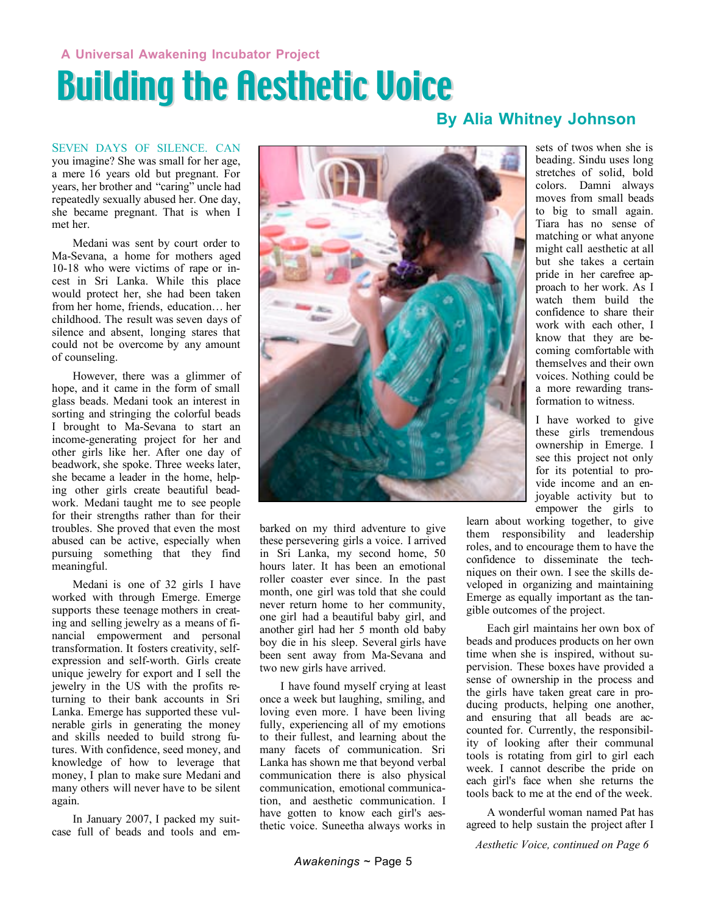SEVEN DAYS OF SILENCE. CAN you imagine? She was small for her age, a mere 16 years old but pregnant. For years, her brother and "caring" uncle had repeatedly sexually abused her. One day, she became pregnant. That is when I met her.

Medani was sent by court order to Ma-Sevana, a home for mothers aged 10-18 who were victims of rape or incest in Sri Lanka. While this place would protect her, she had been taken from her home, friends, education… her childhood. The result was seven days of silence and absent, longing stares that could not be overcome by any amount of counseling.

However, there was a glimmer of hope, and it came in the form of small glass beads. Medani took an interest in sorting and stringing the colorful beads I brought to Ma-Sevana to start an income-generating project for her and other girls like her. After one day of beadwork, she spoke. Three weeks later, she became a leader in the home, helping other girls create beautiful beadwork. Medani taught me to see people for their strengths rather than for their troubles. She proved that even the most abused can be active, especially when pursuing something that they find meaningful.

Medani is one of 32 girls I have worked with through Emerge. Emerge supports these teenage mothers in creating and selling jewelry as a means of financial empowerment and personal transformation. It fosters creativity, selfexpression and self-worth. Girls create unique jewelry for export and I sell the jewelry in the US with the profits returning to their bank accounts in Sri Lanka. Emerge has supported these vulnerable girls in generating the money and skills needed to build strong futures. With confidence, seed money, and knowledge of how to leverage that money, I plan to make sure Medani and many others will never have to be silent again.

In January 2007, I packed my suitcase full of beads and tools and em-



barked on my third adventure to give these persevering girls a voice. I arrived in Sri Lanka, my second home, 50 hours later. It has been an emotional roller coaster ever since. In the past month, one girl was told that she could never return home to her community, one girl had a beautiful baby girl, and another girl had her 5 month old baby boy die in his sleep. Several girls have been sent away from Ma-Sevana and two new girls have arrived.

I have found myself crying at least once a week but laughing, smiling, and loving even more. I have been living fully, experiencing all of my emotions to their fullest, and learning about the many facets of communication. Sri Lanka has shown me that beyond verbal communication there is also physical communication, emotional communication, and aesthetic communication. I have gotten to know each girl's aesthetic voice. Suneetha always works in

### **By Alia Whitney Johnson**

sets of twos when she is beading. Sindu uses long stretches of solid, bold colors. Damni always moves from small beads to big to small again. Tiara has no sense of matching or what anyone might call aesthetic at all but she takes a certain pride in her carefree approach to her work. As I watch them build the confidence to share their work with each other, I know that they are becoming comfortable with themselves and their own voices. Nothing could be a more rewarding transformation to witness.

I have worked to give these girls tremendous ownership in Emerge. I see this project not only for its potential to provide income and an enjoyable activity but to empower the girls to

learn about working together, to give them responsibility and leadership roles, and to encourage them to have the confidence to disseminate the techniques on their own. I see the skills developed in organizing and maintaining Emerge as equally important as the tangible outcomes of the project.

Each girl maintains her own box of beads and produces products on her own time when she is inspired, without supervision. These boxes have provided a sense of ownership in the process and the girls have taken great care in producing products, helping one another, and ensuring that all beads are accounted for. Currently, the responsibility of looking after their communal tools is rotating from girl to girl each week. I cannot describe the pride on each girl's face when she returns the tools back to me at the end of the week.

A wonderful woman named Pat has agreed to help sustain the project after I

*Aesthetic Voice, continued on Page 6*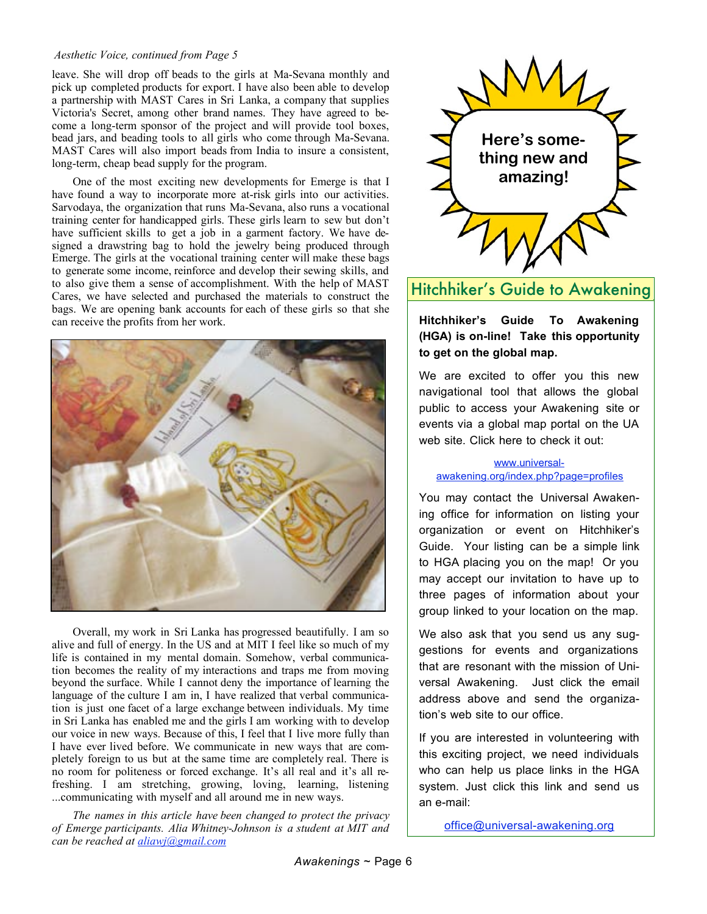#### *Aesthetic Voice, continued from Page 5*

leave. She will drop off beads to the girls at Ma-Sevana monthly and pick up completed products for export. I have also been able to develop a partnership with MAST Cares in Sri Lanka, a company that supplies Victoria's Secret, among other brand names. They have agreed to become a long-term sponsor of the project and will provide tool boxes, bead jars, and beading tools to all girls who come through Ma-Sevana. MAST Cares will also import beads from India to insure a consistent, long-term, cheap bead supply for the program.

One of the most exciting new developments for Emerge is that I have found a way to incorporate more at-risk girls into our activities. Sarvodaya, the organization that runs Ma-Sevana, also runs a vocational training center for handicapped girls. These girls learn to sew but don't have sufficient skills to get a job in a garment factory. We have designed a drawstring bag to hold the jewelry being produced through Emerge. The girls at the vocational training center will make these bags to generate some income, reinforce and develop their sewing skills, and to also give them a sense of accomplishment. With the help of MAST Cares, we have selected and purchased the materials to construct the bags. We are opening bank accounts for each of these girls so that she can receive the profits from her work.



Overall, my work in Sri Lanka has progressed beautifully. I am so alive and full of energy. In the US and at MIT I feel like so much of my life is contained in my mental domain. Somehow, verbal communication becomes the reality of my interactions and traps me from moving beyond the surface. While I cannot deny the importance of learning the language of the culture I am in, I have realized that verbal communication is just one facet of a large exchange between individuals. My time in Sri Lanka has enabled me and the girls I am working with to develop our voice in new ways. Because of this, I feel that I live more fully than I have ever lived before. We communicate in new ways that are completely foreign to us but at the same time are completely real. There is no room for politeness or forced exchange. It's all real and it's all refreshing. I am stretching, growing, loving, learning, listening ...communicating with myself and all around me in new ways.

*The names in this article have been changed to protect the privacy of Emerge participants. Alia Whitney-Johnson is a student at MIT and can be reached at aliawj@gmail.com*



### Hitchhiker's Guide to Awakening

#### **Hitchhiker's Guide To Awakening (HGA) is on-line! Take this opportunity to get on the global map.**

We are excited to offer you this new navigational tool that allows the global public to access your Awakening site or events via a global map portal on the UA web site. Click here to check it out:

#### www.universalawakening.org/index.php?page=profiles

You may contact the Universal Awakening office for information on listing your organization or event on Hitchhiker's Guide. Your listing can be a simple link to HGA placing you on the map! Or you may accept our invitation to have up to three pages of information about your group linked to your location on the map.

We also ask that you send us any suggestions for events and organizations that are resonant with the mission of Universal Awakening. Just click the email address above and send the organization's web site to our office.

If you are interested in volunteering with this exciting project, we need individuals who can help us place links in the HGA system. Just click this link and send us an e-mail:

office@universal-awakening.org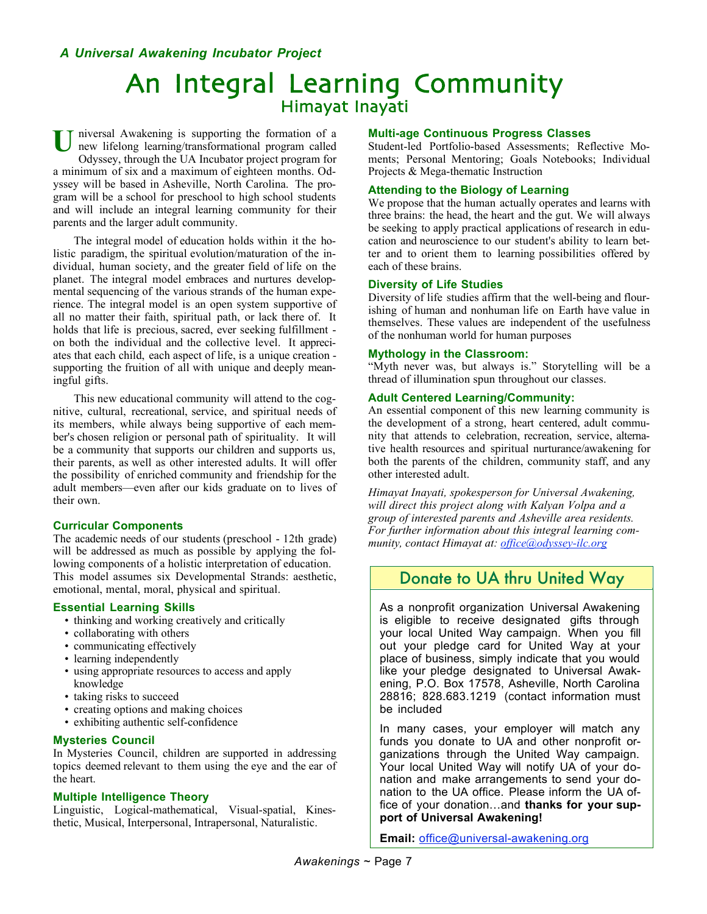*A Universal Awakening Incubator Project*

### An Integral Learning Community Himayat Inayati

niversal Awakening is supporting the formation of a new lifelong learning/transformational program called Odyssey, through the UA Incubator project program for a minimum of six and a maximum of eighteen months. Odyssey will be based in Asheville, North Carolina. The program will be a school for preschool to high school students and will include an integral learning community for their parents and the larger adult community. U

The integral model of education holds within it the holistic paradigm, the spiritual evolution/maturation of the individual, human society, and the greater field of life on the planet. The integral model embraces and nurtures developmental sequencing of the various strands of the human experience. The integral model is an open system supportive of all no matter their faith, spiritual path, or lack there of. It holds that life is precious, sacred, ever seeking fulfillment on both the individual and the collective level. It appreciates that each child, each aspect of life, is a unique creation supporting the fruition of all with unique and deeply meaningful gifts.

This new educational community will attend to the cognitive, cultural, recreational, service, and spiritual needs of its members, while always being supportive of each member's chosen religion or personal path of spirituality. It will be a community that supports our children and supports us, their parents, as well as other interested adults. It will offer the possibility of enriched community and friendship for the adult members—even after our kids graduate on to lives of their own.

#### **Curricular Components**

The academic needs of our students (preschool - 12th grade) will be addressed as much as possible by applying the following components of a holistic interpretation of education. This model assumes six Developmental Strands: aesthetic, emotional, mental, moral, physical and spiritual.

#### **Essential Learning Skills**

- thinking and working creatively and critically
- collaborating with others
- communicating effectively
- learning independently
- using appropriate resources to access and apply knowledge
- taking risks to succeed
- creating options and making choices
- exhibiting authentic self-confidence

#### **Mysteries Council**

In Mysteries Council, children are supported in addressing topics deemed relevant to them using the eye and the ear of the heart.

#### **Multiple Intelligence Theory**

Linguistic, Logical-mathematical, Visual-spatial, Kinesthetic, Musical, Interpersonal, Intrapersonal, Naturalistic.

#### **Multi-age Continuous Progress Classes**

Student-led Portfolio-based Assessments; Reflective Moments; Personal Mentoring; Goals Notebooks; Individual Projects & Mega-thematic Instruction

#### **Attending to the Biology of Learning**

We propose that the human actually operates and learns with three brains: the head, the heart and the gut. We will always be seeking to apply practical applications of research in education and neuroscience to our student's ability to learn better and to orient them to learning possibilities offered by each of these brains.

#### **Diversity of Life Studies**

Diversity of life studies affirm that the well-being and flourishing of human and nonhuman life on Earth have value in themselves. These values are independent of the usefulness of the nonhuman world for human purposes

#### **Mythology in the Classroom:**

"Myth never was, but always is." Storytelling will be a thread of illumination spun throughout our classes.

#### **Adult Centered Learning/Community:**

An essential component of this new learning community is the development of a strong, heart centered, adult community that attends to celebration, recreation, service, alternative health resources and spiritual nurturance/awakening for both the parents of the children, community staff, and any other interested adult.

*Himayat Inayati, spokesperson for Universal Awakening, will direct this project along with Kalyan Volpa and a group of interested parents and Asheville area residents. For further information about this integral learning community, contact Himayat at: office@odyssey-ilc.org*

### Donate to UA thru United Way

As a nonprofit organization Universal Awakening is eligible to receive designated gifts through your local United Way campaign. When you fill out your pledge card for United Way at your place of business, simply indicate that you would like your pledge designated to Universal Awakening, P.O. Box 17578, Asheville, North Carolina 28816; 828.683.1219 (contact information must be included

In many cases, your employer will match any funds you donate to UA and other nonprofit organizations through the United Way campaign. Your local United Way will notify UA of your donation and make arrangements to send your donation to the UA office. Please inform the UA office of your donation…and **thanks for your support of Universal Awakening!**

**Email:** office@universal-awakening.org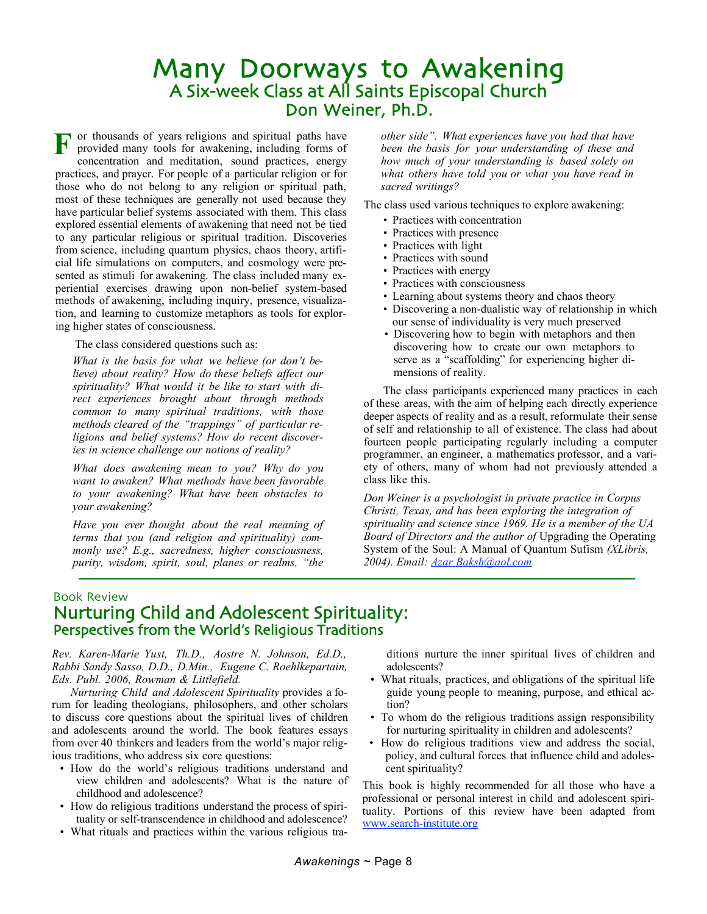### Many Doorways to Awakening A Six!week Class at All Saints Episcopal Church Don Weiner, Ph.D.

or thousands of years religions and spiritual paths have F provided many tools for awakening, including forms of concentration and meditation, sound practices, energy practices, and prayer. For people of a particular religion or for those who do not belong to any religion or spiritual path, most of these techniques are generally not used because they have particular belief systems associated with them. This class explored essential elements of awakening that need not be tied to any particular religious or spiritual tradition. Discoveries from science, including quantum physics, chaos theory, artificial life simulations on computers, and cosmology were presented as stimuli for awakening. The class included many experiential exercises drawing upon non-belief system-based methods of awakening, including inquiry, presence, visualization, and learning to customize metaphors as tools for exploring higher states of consciousness.

The class considered questions such as:

*What is the basis for what we believe (or don't believe) about reality? How do these beliefs affect our spirituality? What would it be like to start with direct experiences brought about through methods common to many spiritual traditions, with those methods cleared of the "trappings" of particular religions and belief systems? How do recent discoveries in science challenge our notions of reality?*

*What does awakening mean to you? Why do you want to awaken? What methods have been favorable to your awakening? What have been obstacles to your awakening?*

*Have you ever thought about the real meaning of terms that you (and religion and spirituality) commonly use? E.g., sacredness, higher consciousness, purity, wisdom, spirit, soul, planes or realms, "the*

*other side". What experiences have you had that have been the basis for your understanding of these and how much of your understanding is based solely on what others have told you or what you have read in sacred writings?*

The class used various techniques to explore awakening:

- Practices with concentration
- Practices with presence
- Practices with light
- Practices with sound
- Practices with energy
- Practices with consciousness
- Learning about systems theory and chaos theory
- Discovering a non-dualistic way of relationship in which our sense of individuality is very much preserved
- Discovering how to begin with metaphors and then discovering how to create our own metaphors to serve as a "scaffolding" for experiencing higher dimensions of reality.

The class participants experienced many practices in each of these areas, with the aim of helping each directly experience deeper aspects of reality and as a result, reformulate their sense of self and relationship to all of existence. The class had about fourteen people participating regularly including a computer programmer, an engineer, a mathematics professor, and a variety of others, many of whom had not previously attended a class like this.

*Don Weiner is a psychologist in private practice in Corpus Christi, Texas, and has been exploring the integration of spirituality and science since 1969. He is a member of the UA Board of Directors and the author of* Upgrading the Operating System of the Soul: A Manual of Quantum Sufism *(XLibris, 2004). Email: Azar Baksh@aol.com*

### Book Review Nurturing Child and Adolescent Spirituality:<br>Perspectives from the World's Religious Traditions

*Rev. Karen-Marie Yust, Th.D., Aostre N. Johnson, Ed.D., Rabbi Sandy Sasso, D.D., D.Min., Eugene C. Roehlkepartain, Eds. Publ. 2006, Rowman & Littlefield.*

*Nurturing Child and Adolescent Spirituality* provides a forum for leading theologians, philosophers, and other scholars to discuss core questions about the spiritual lives of children and adolescents around the world. The book features essays from over 40 thinkers and leaders from the world's major religious traditions, who address six core questions:

- How do the world's religious traditions understand and view children and adolescents? What is the nature of childhood and adolescence?
- How do religious traditions understand the process of spirituality or self-transcendence in childhood and adolescence?
- What rituals and practices within the various religious tra-

ditions nurture the inner spiritual lives of children and adolescents?

- What rituals, practices, and obligations of the spiritual life guide young people to meaning, purpose, and ethical action?
- To whom do the religious traditions assign responsibility for nurturing spirituality in children and adolescents?
- How do religious traditions view and address the social, policy, and cultural forces that influence child and adolescent spirituality?

This book is highly recommended for all those who have a professional or personal interest in child and adolescent spirituality. Portions of this review have been adapted from www.search-institute.org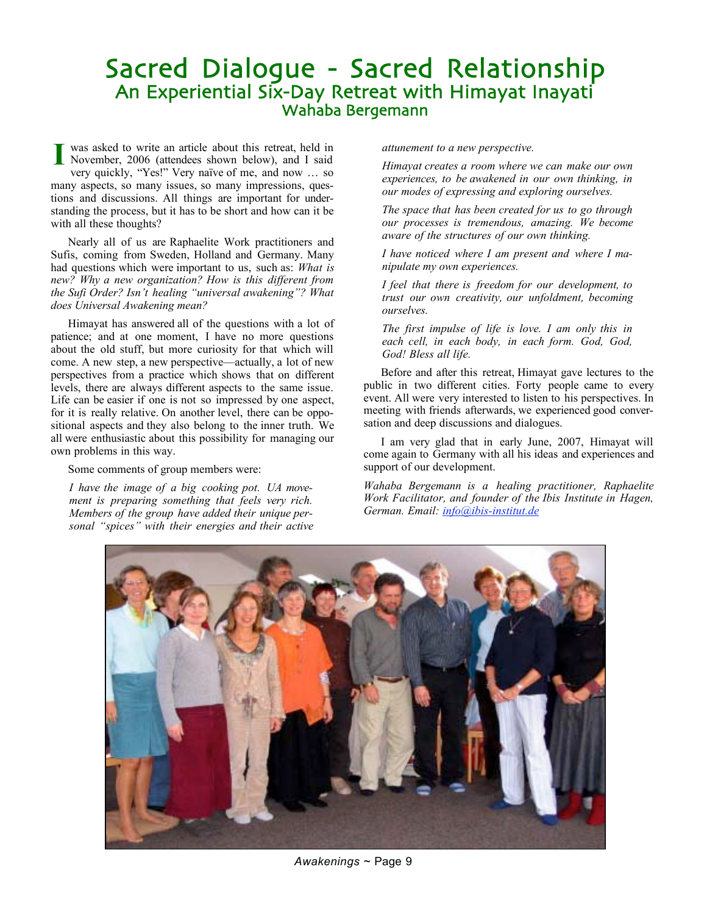### Sacred Dialogue - Sacred Relationship An Experiential Six-Day Retreat with Himayat Inayati Wahaba Bergemann

I was asked to write an article about this retreat, held in November, 2006 (attendees shown below), and I said very quickly, "Yes!" Very naïve of me, and now … so many aspects, so many issues, so many impressions, questions and discussions. All things are important for understanding the process, but it has to be short and how can it be with all these thoughts?

Nearly all of us are Raphaelite Work practitioners and Sufis, coming from Sweden, Holland and Germany. Many had questions which were important to us, such as: *What is new? Why a new organization? How is this different from the Sufi Order? Isn't healing "universal awakening"? What does Universal Awakening mean?*

Himayat has answered all of the questions with a lot of patience; and at one moment, I have no more questions about the old stuff, but more curiosity for that which will come. A new step, a new perspective—actually, a lot of new perspectives from a practice which shows that on different levels, there are always different aspects to the same issue. Life can be easier if one is not so impressed by one aspect, for it is really relative. On another level, there can be oppositional aspects and they also belong to the inner truth. We all were enthusiastic about this possibility for managing our own problems in this way.

Some comments of group members were:

*I have the image of a big cooking pot. UA movement is preparing something that feels very rich. Members of the group have added their unique personal "spices" with their energies and their active* *attunement to a new perspective.*

*Himayat creates a room where we can make our own experiences, to be awakened in our own thinking, in our modes of expressing and exploring ourselves.*

*The space that has been created for us to go through our processes is tremendous, amazing. We become aware of the structures of our own thinking.*

*I have noticed where I am present and where I manipulate my own experiences.* 

*I feel that there is freedom for our development, to trust our own creativity, our unfoldment, becoming ourselves.*

*The first impulse of life is love. I am only this in each cell, in each body, in each form. God, God, God! Bless all life.*

Before and after this retreat, Himayat gave lectures to the public in two different cities. Forty people came to every event. All were very interested to listen to his perspectives. In meeting with friends afterwards, we experienced good conversation and deep discussions and dialogues.

I am very glad that in early June, 2007, Himayat will come again to Germany with all his ideas and experiences and support of our development.

*Wahaba Bergemann is a healing practitioner, Raphaelite Work Facilitator, and founder of the Ibis Institute in Hagen, German. Email: info@ibis-institut.de*



*Awakenings* ~ Page 9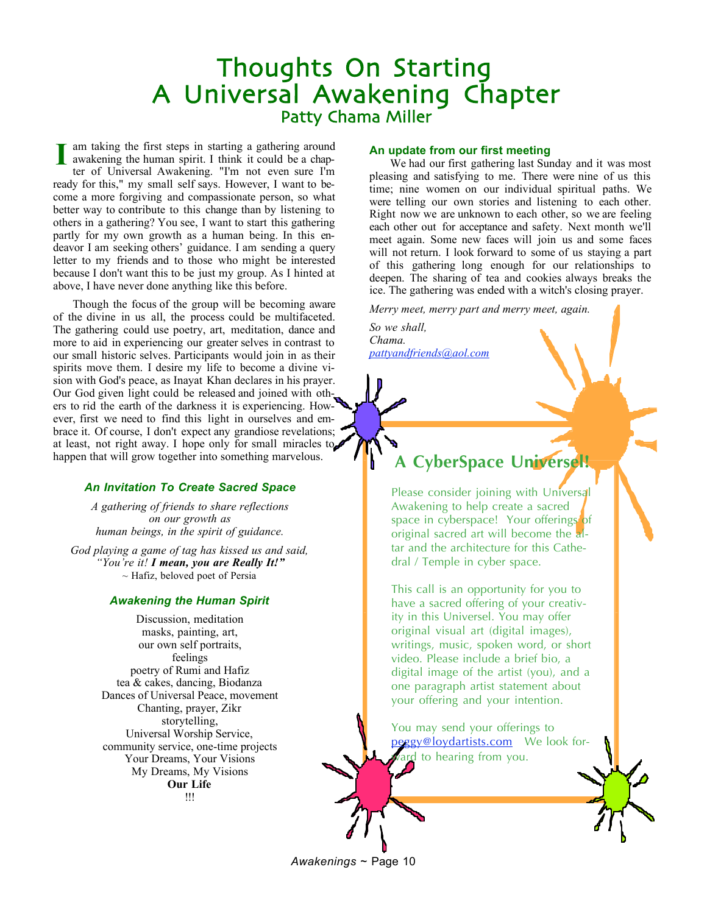## Thoughts On Starting A Universal Awakening Chapter Patty Chama Miller

am taking the first steps in starting a gathering around awakening the human spirit. I think it could be a chapter of Universal Awakening. "I'm not even sure I'm ready for this," my small self says. However, I want to become a more forgiving and compassionate person, so what better way to contribute to this change than by listening to others in a gathering? You see, I want to start this gathering partly for my own growth as a human being. In this endeavor I am seeking others' guidance. I am sending a query letter to my friends and to those who might be interested because I don't want this to be just my group. As I hinted at above, I have never done anything like this before. I

Though the focus of the group will be becoming aware of the divine in us all, the process could be multifaceted. The gathering could use poetry, art, meditation, dance and more to aid in experiencing our greater selves in contrast to our small historic selves. Participants would join in as their spirits move them. I desire my life to become a divine vision with God's peace, as Inayat Khan declares in his prayer. Our God given light could be released and joined with others to rid the earth of the darkness it is experiencing. However, first we need to find this light in ourselves and embrace it. Of course, I don't expect any grandiose revelations; at least, not right away. I hope only for small miracles to happen that will grow together into something marvelous.

#### *An Invitation To Create Sacred Space*

*A gathering of friends to share reflections on our growth as human beings, in the spirit of guidance.*

*God playing a game of tag has kissed us and said, "You're it! I mean, you are Really It!"*  $\sim$  Hafiz, beloved poet of Persia

#### *Awakening the Human Spirit*

Discussion, meditation masks, painting, art, our own self portraits, feelings poetry of Rumi and Hafiz tea & cakes, dancing, Biodanza Dances of Universal Peace, movement Chanting, prayer, Zikr storytelling, Universal Worship Service, community service, one-time projects Your Dreams, Your Visions My Dreams, My Visions Our Life !!!

#### **An update from our first meeting**

We had our first gathering last Sunday and it was most pleasing and satisfying to me. There were nine of us this time; nine women on our individual spiritual paths. We were telling our own stories and listening to each other. Right now we are unknown to each other, so we are feeling each other out for acceptance and safety. Next month we'll meet again. Some new faces will join us and some faces will not return. I look forward to some of us staying a part of this gathering long enough for our relationships to deepen. The sharing of tea and cookies always breaks the ice. The gathering was ended with a witch's closing prayer.

*Merry meet, merry part and merry meet, again.*

*So we shall, Chama. pattyandfriends@aol.com*

### **A CyberSpace Universel!**

Please consider joining with Universal Awakening to help create a sacred space in cyberspace! Your offerings of original sacred art will become the altar and the architecture for this Cathedral / Temple in cyber space.

This call is an opportunity for you to have a sacred offering of your creativity in this Universel. You may offer original visual art (digital images), writings, music, spoken word, or short video. Please include a brief bio, a digital image of the artist (you), and a one paragraph artist statement about your offering and your intention.

You may send your offerings to peggy@loydartists.com We look forard to hearing from you.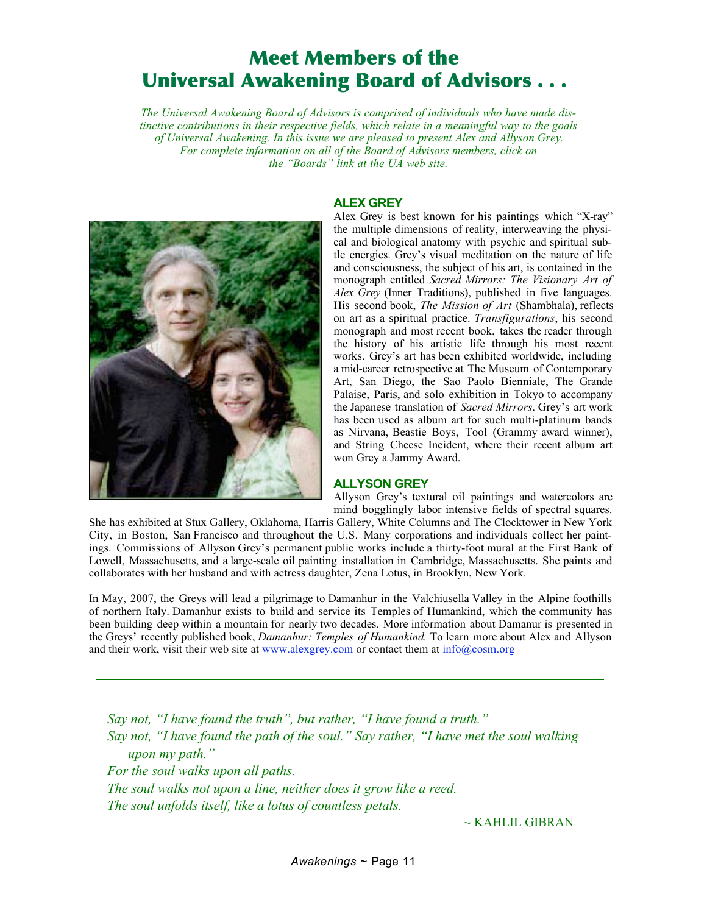### Meet Members of the Universal Awakening Board of Advisors . . .

*The Universal Awakening Board of Advisors is comprised of individuals who have made distinctive contributions in their respective fields, which relate in a meaningful way to the goals of Universal Awakening. In this issue we are pleased to present Alex and Allyson Grey. For complete information on all of the Board of Advisors members, click on the "Boards" link at the UA web site.*



#### **ALEX GREY**

Alex Grey is best known for his paintings which "X-ray" the multiple dimensions of reality, interweaving the physical and biological anatomy with psychic and spiritual subtle energies. Grey's visual meditation on the nature of life and consciousness, the subject of his art, is contained in the monograph entitled *Sacred Mirrors: The Visionary Art of Alex Grey* (Inner Traditions), published in five languages. His second book, *The Mission of Art* (Shambhala), reflects on art as a spiritual practice. *Transfigurations*, his second monograph and most recent book, takes the reader through the history of his artistic life through his most recent works. Grey's art has been exhibited worldwide, including a mid-career retrospective at The Museum of Contemporary Art, San Diego, the Sao Paolo Bienniale, The Grande Palaise, Paris, and solo exhibition in Tokyo to accompany the Japanese translation of *Sacred Mirrors*. Grey's art work has been used as album art for such multi-platinum bands as Nirvana, Beastie Boys, Tool (Grammy award winner), and String Cheese Incident, where their recent album art won Grey a Jammy Award.

#### **ALLYSON GREY**

Allyson Grey's textural oil paintings and watercolors are mind bogglingly labor intensive fields of spectral squares.

She has exhibited at Stux Gallery, Oklahoma, Harris Gallery, White Columns and The Clocktower in New York City, in Boston, San Francisco and throughout the U.S. Many corporations and individuals collect her paintings. Commissions of Allyson Grey's permanent public works include a thirty-foot mural at the First Bank of Lowell, Massachusetts, and a large-scale oil painting installation in Cambridge, Massachusetts. She paints and collaborates with her husband and with actress daughter, Zena Lotus, in Brooklyn, New York.

In May, 2007, the Greys will lead a pilgrimage to Damanhur in the Valchiusella Valley in the Alpine foothills of northern Italy. Damanhur exists to build and service its Temples of Humankind, which the community has been building deep within a mountain for nearly two decades. More information about Damanur is presented in the Greys' recently published book, *Damanhur: Temples of Humankind.* To learn more about Alex and Allyson and their work, visit their web site at www.alexgrey.com or contact them at  $in \overline{f}$  info $\overline{a}$  cosm.org

*Say not, "I have found the truth", but rather, "I have found a truth." Say not, "I have found the path of the soul." Say rather, "I have met the soul walking upon my path." For the soul walks upon all paths. The soul walks not upon a line, neither does it grow like a reed. The soul unfolds itself, like a lotus of countless petals.*

~ KAHLIL GIBRAN